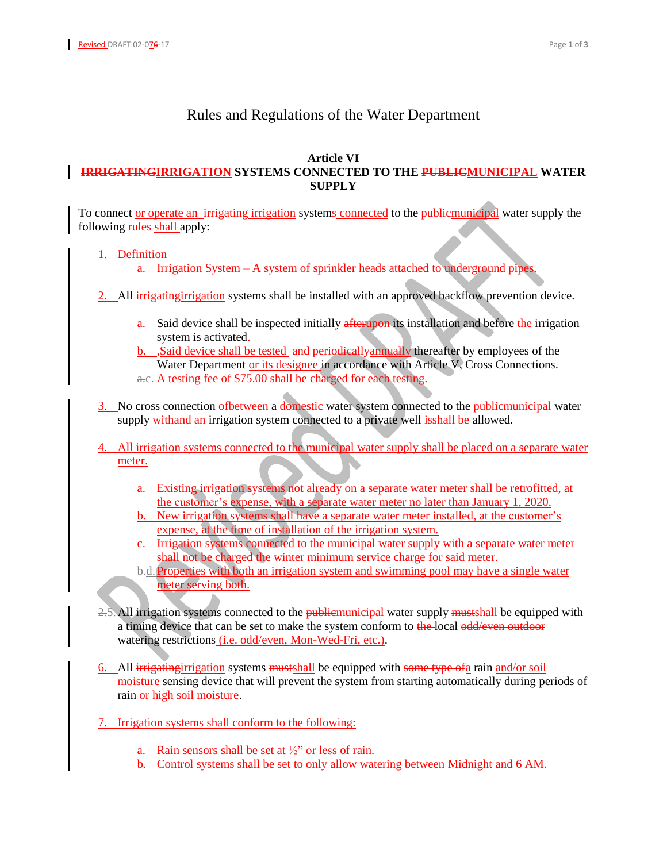## Rules and Regulations of the Water Department

## **Article VI IRRIGATINGIRRIGATION SYSTEMS CONNECTED TO THE PUBLICMUNICIPAL WATER SUPPLY**

To connect or operate an irrigating irrigation systems connected to the public municipal water supply the following rules shall apply:

## 1. Definition

a. Irrigation System – A system of sprinkler heads attached to underground pipes.

- 2. All irrigating irrigation systems shall be installed with an approved backflow prevention device.
	- a. Said device shall be inspected initially afterupon its installation and before the irrigation system is activated.
	- b. ,Said device shall be tested and periodically annually thereafter by employees of the Water Department or its designee in accordance with Article  $\nabla$ , Cross Connections. a.c. A testing fee of \$75.00 shall be charged for each testing.
- 3. No cross connection of between a domestic water system connected to the public municipal water supply withand an irrigation system connected to a private well isshall be allowed.
- 4. All irrigation systems connected to the municipal water supply shall be placed on a separate water meter.
	- a. Existing irrigation systems not already on a separate water meter shall be retrofitted, at the customer's expense, with a separate water meter no later than January 1, 2020.
	- b. New irrigation systems shall have a separate water meter installed, at the customer's expense, at the time of installation of the irrigation system.
	- c. Irrigation systems connected to the municipal water supply with a separate water meter shall not be charged the winter minimum service charge for said meter.
	- b.d.Properties with both an irrigation system and swimming pool may have a single water meter serving both.
- 2.5. All irrigation systems connected to the **publicmunicipal** water supply must shall be equipped with a timing device that can be set to make the system conform to the local odd/even outdoor watering restrictions (i.e. odd/even, Mon-Wed-Fri, etc.).
- 6. All irrigating irrigation systems mustshall be equipped with some type of a rain and/or soil moisture sensing device that will prevent the system from starting automatically during periods of rain or high soil moisture.
- 7. Irrigation systems shall conform to the following:
	- a. Rain sensors shall be set at  $\frac{1}{2}$  or less of rain.
	- b. Control systems shall be set to only allow watering between Midnight and 6 AM.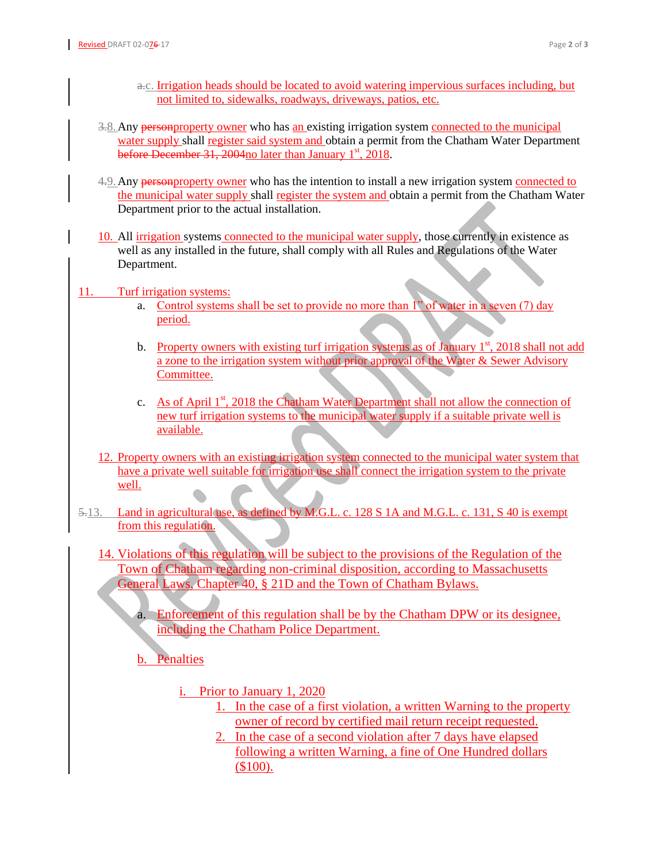- a.c. Irrigation heads should be located to avoid watering impervious surfaces including, but not limited to, sidewalks, roadways, driveways, patios, etc.
- 3.8. Any personproperty owner who has an existing irrigation system connected to the municipal water supply shall register said system and obtain a permit from the Chatham Water Department before December 31, 2004 no later than January  $1<sup>st</sup>$ , 2018.
- 4.9. Any personproperty owner who has the intention to install a new irrigation system connected to the municipal water supply shall register the system and obtain a permit from the Chatham Water Department prior to the actual installation.
- 10. All irrigation systems connected to the municipal water supply, those currently in existence as well as any installed in the future, shall comply with all Rules and Regulations of the Water Department.
- 11. Turf irrigation systems:
	- a. Control systems shall be set to provide no more than 1" of water in a seven (7) day period.
	- b. Property owners with existing turf irrigation systems as of January  $1<sup>st</sup>$ , 2018 shall not add a zone to the irrigation system without prior approval of the Water & Sewer Advisory Committee.
	- c. As of April 1<sup>st</sup>, 2018 the Chatham Water Department shall not allow the connection of new turf irrigation systems to the municipal water supply if a suitable private well is available.
	- 12. Property owners with an existing irrigation system connected to the municipal water system that have a private well suitable for irrigation use shall connect the irrigation system to the private well.
- 5.13. Land in agricultural use, as defined by M.G.L. c. 128 S 1A and M.G.L. c. 131, S 40 is exempt from this regulation.
	- 14. Violations of this regulation will be subject to the provisions of the Regulation of the Town of Chatham regarding non-criminal disposition, according to Massachusetts General Laws, Chapter 40, § 21D and the Town of Chatham Bylaws.
		- a. Enforcement of this regulation shall be by the Chatham DPW or its designee, including the Chatham Police Department.
		- b. Penalties
			- i. Prior to January 1, 2020
				- 1. In the case of a first violation, a written Warning to the property owner of record by certified mail return receipt requested.
				- 2. In the case of a second violation after 7 days have elapsed following a written Warning, a fine of One Hundred dollars (\$100).